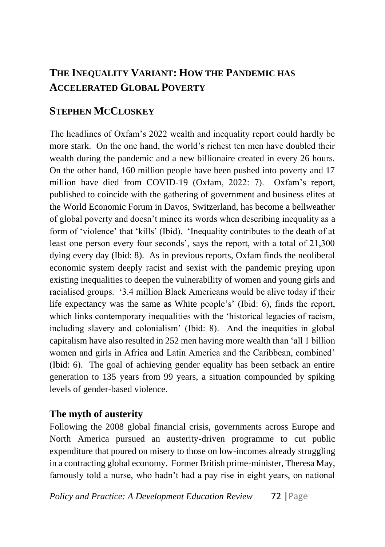# **THE INEQUALITY VARIANT: HOW THE PANDEMIC HAS ACCELERATED GLOBAL POVERTY**

## **STEPHEN MCCLOSKEY**

The headlines of Oxfam's 2022 wealth and inequality report could hardly be more stark. On the one hand, the world's richest ten men have doubled their wealth during the pandemic and a new billionaire created in every 26 hours. On the other hand, 160 million people have been pushed into poverty and 17 million have died from COVID-19 (Oxfam, 2022: 7). Oxfam's report, published to coincide with the gathering of government and business elites at the World Economic Forum in Davos, Switzerland, has become a bellweather of global poverty and doesn't mince its words when describing inequality as a form of 'violence' that 'kills' (Ibid). 'Inequality contributes to the death of at least one person every four seconds', says the report, with a total of 21,300 dying every day (Ibid: 8). As in previous reports, Oxfam finds the neoliberal economic system deeply racist and sexist with the pandemic preying upon existing inequalities to deepen the vulnerability of women and young girls and racialised groups. '3.4 million Black Americans would be alive today if their life expectancy was the same as White people's' (Ibid: 6), finds the report, which links contemporary inequalities with the 'historical legacies of racism, including slavery and colonialism' (Ibid: 8). And the inequities in global capitalism have also resulted in 252 men having more wealth than 'all 1 billion women and girls in Africa and Latin America and the Caribbean, combined' (Ibid: 6). The goal of achieving gender equality has been setback an entire generation to 135 years from 99 years, a situation compounded by spiking levels of gender-based violence.

### **The myth of austerity**

Following the 2008 global financial crisis, governments across Europe and North America pursued an austerity-driven programme to cut public expenditure that poured on misery to those on low-incomes already struggling in a contracting global economy. Former British prime-minister, Theresa May, famously told a nurse, who hadn't had a pay rise in eight years, on national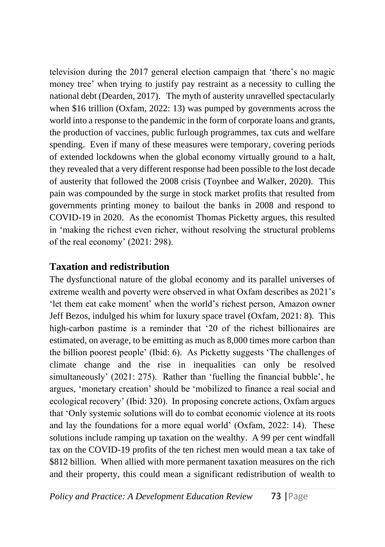television during the 2017 general election campaign that 'there's no magic money tree' when trying to justify pay restraint as a necessity to culling the national debt (Dearden, 2017). The myth of austerity unravelled spectacularly when \$16 trillion (Oxfam, 2022: 13) was pumped by governments across the world into a response to the pandemic in the form of corporate loans and grants, the production of vaccines, public furlough programmes, tax cuts and welfare spending. Even if many of these measures were temporary, covering periods of extended lockdowns when the global economy virtually ground to a halt, they revealed that a very different response had been possible to the lost decade of austerity that followed the 2008 crisis (Toynbee and Walker, 2020). This pain was compounded by the surge in stock market profits that resulted from governments printing money to bailout the banks in 2008 and respond to COVID-19 in 2020. As the economist Thomas Picketty argues, this resulted in 'making the richest even richer, without resolving the structural problems of the real economy' (2021: 298).

### **Taxation and redistribution**

The dysfunctional nature of the global economy and its parallel universes of extreme wealth and poverty were observed in what Oxfam describes as 2021's 'let them eat cake moment' when the world's richest person, Amazon owner Jeff Bezos, indulged his whim for luxury space travel (Oxfam, 2021: 8). This high-carbon pastime is a reminder that '20 of the richest billionaires are estimated, on average, to be emitting as much as 8,000 times more carbon than the billion poorest people' (Ibid: 6). As Picketty suggests 'The challenges of climate change and the rise in inequalities can only be resolved simultaneously' (2021: 275). Rather than 'fuelling the financial bubble', he argues, 'monetary creation' should be 'mobilized to finance a real social and ecological recovery' (Ibid: 320). In proposing concrete actions, Oxfam argues that 'Only systemic solutions will do to combat economic violence at its roots and lay the foundations for a more equal world' (Oxfam, 2022: 14). These solutions include ramping up taxation on the wealthy. A 99 per cent windfall tax on the COVID-19 profits of the ten richest men would mean a tax take of \$812 billion. When allied with more permanent taxation measures on the rich and their property, this could mean a significant redistribution of wealth to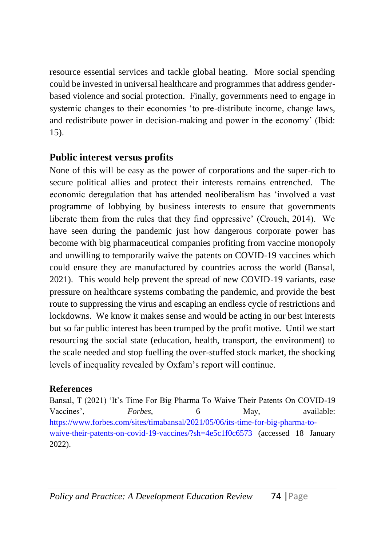resource essential services and tackle global heating. More social spending could be invested in universal healthcare and programmes that address genderbased violence and social protection. Finally, governments need to engage in systemic changes to their economies 'to pre-distribute income, change laws, and redistribute power in decision-making and power in the economy' (Ibid: 15).

### **Public interest versus profits**

None of this will be easy as the power of corporations and the super-rich to secure political allies and protect their interests remains entrenched. The economic deregulation that has attended neoliberalism has 'involved a vast programme of lobbying by business interests to ensure that governments liberate them from the rules that they find oppressive' (Crouch, 2014). We have seen during the pandemic just how dangerous corporate power has become with big pharmaceutical companies profiting from vaccine monopoly and unwilling to temporarily waive the patents on COVID-19 vaccines which could ensure they are manufactured by countries across the world (Bansal, 2021). This would help prevent the spread of new COVID-19 variants, ease pressure on healthcare systems combating the pandemic, and provide the best route to suppressing the virus and escaping an endless cycle of restrictions and lockdowns. We know it makes sense and would be acting in our best interests but so far public interest has been trumped by the profit motive. Until we start resourcing the social state (education, health, transport, the environment) to the scale needed and stop fuelling the over-stuffed stock market, the shocking levels of inequality revealed by Oxfam's report will continue.

#### **References**

Bansal, T (2021) 'It's Time For Big Pharma To Waive Their Patents On COVID-19 Vaccines', *Forbes*, 6 May, available: [https://www.forbes.com/sites/timabansal/2021/05/06/its-time-for-big-pharma-to](https://www.forbes.com/sites/timabansal/2021/05/06/its-time-for-big-pharma-to-waive-their-patents-on-covid-19-vaccines/?sh=4e5c1f0c6573)[waive-their-patents-on-covid-19-vaccines/?sh=4e5c1f0c6573](https://www.forbes.com/sites/timabansal/2021/05/06/its-time-for-big-pharma-to-waive-their-patents-on-covid-19-vaccines/?sh=4e5c1f0c6573) (accessed 18 January 2022).